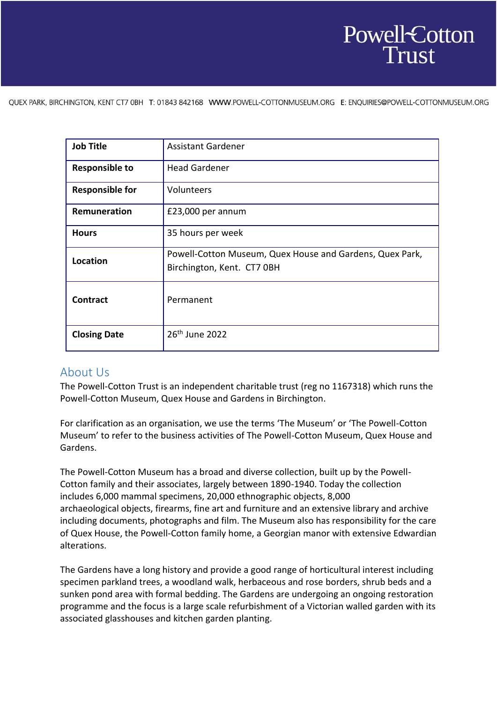# Powell-Cotton

QUEX PARK, BIRCHINGTON, KENT CT7 0BH T: 01843 842168 WWW.POWELL-COTTONMUSEUM.ORG E: ENQUIRIES@POWELL-COTTONMUSEUM.ORG

| <b>Job Title</b>       | <b>Assistant Gardener</b>                                                              |
|------------------------|----------------------------------------------------------------------------------------|
| <b>Responsible to</b>  | <b>Head Gardener</b>                                                                   |
| <b>Responsible for</b> | Volunteers                                                                             |
| Remuneration           | £23,000 per annum                                                                      |
| <b>Hours</b>           | 35 hours per week                                                                      |
| <b>Location</b>        | Powell-Cotton Museum, Quex House and Gardens, Quex Park,<br>Birchington, Kent. CT7 OBH |
| <b>Contract</b>        | Permanent                                                                              |
| <b>Closing Date</b>    | 26 <sup>th</sup> June 2022                                                             |

### About Us

The Powell-Cotton Trust is an independent charitable trust (reg no 1167318) which runs the Powell-Cotton Museum, Quex House and Gardens in Birchington.

For clarification as an organisation, we use the terms 'The Museum' or 'The Powell-Cotton Museum' to refer to the business activities of The Powell-Cotton Museum, Quex House and Gardens.

The Powell-Cotton Museum has a broad and diverse collection, built up by the Powell-Cotton family and their associates, largely between 1890-1940. Today the collection includes 6,000 mammal specimens, 20,000 ethnographic objects, 8,000 archaeological objects, firearms, fine art and furniture and an extensive library and archive including documents, photographs and film. The Museum also has responsibility for the care of Quex House, the Powell-Cotton family home, a Georgian manor with extensive Edwardian alterations.  

The Gardens have a long history and provide a good range of horticultural interest including specimen parkland trees, a woodland walk, herbaceous and rose borders, shrub beds and a sunken pond area with formal bedding. The Gardens are undergoing an ongoing restoration programme and the focus is a large scale refurbishment of a Victorian walled garden with its associated glasshouses and kitchen garden planting.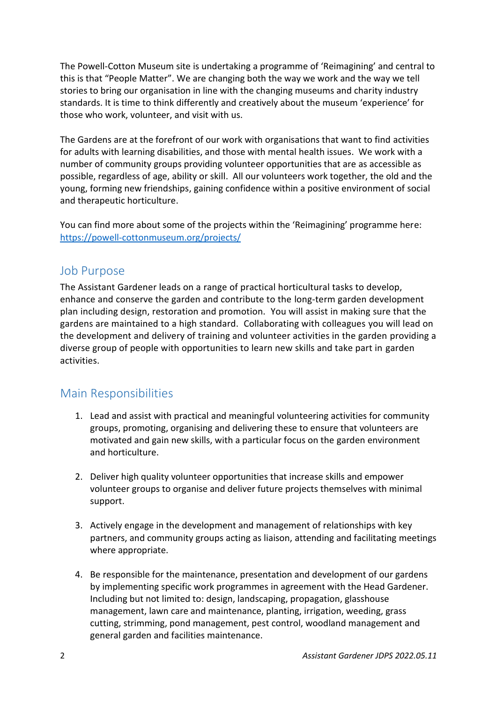The Powell-Cotton Museum site is undertaking a programme of 'Reimagining' and central to this is that "People Matter". We are changing both the way we work and the way we tell stories to bring our organisation in line with the changing museums and charity industry standards. It is time to think differently and creatively about the museum 'experience' for those who work, volunteer, and visit with us.

The Gardens are at the forefront of our work with organisations that want to find activities for adults with learning disabilities, and those with mental health issues. We work with a number of community groups providing volunteer opportunities that are as accessible as possible, regardless of age, ability or skill. All our volunteers work together, the old and the young, forming new friendships, gaining confidence within a positive environment of social and therapeutic horticulture.

You can find more about some of the projects within the 'Reimagining' programme here: <https://powell-cottonmuseum.org/projects/>  

#### Job Purpose

The Assistant Gardener leads on a range of practical horticultural tasks to develop, enhance and conserve the garden and contribute to the long-term garden development plan including design, restoration and promotion. You will assist in making sure that the gardens are maintained to a high standard. Collaborating with colleagues you will lead on the development and delivery of training and volunteer activities in the garden providing a diverse group of people with opportunities to learn new skills and take part in garden activities.

### Main Responsibilities

- 1. Lead and assist with practical and meaningful volunteering activities for community groups, promoting, organising and delivering these to ensure that volunteers are motivated and gain new skills, with a particular focus on the garden environment and horticulture.
- 2. Deliver high quality volunteer opportunities that increase skills and empower volunteer groups to organise and deliver future projects themselves with minimal support.
- 3. Actively engage in the development and management of relationships with key partners, and community groups acting as liaison, attending and facilitating meetings where appropriate.
- 4. Be responsible for the maintenance, presentation and development of our gardens by implementing specific work programmes in agreement with the Head Gardener. Including but not limited to: design, landscaping, propagation, glasshouse management, lawn care and maintenance, planting, irrigation, weeding, grass cutting, strimming, pond management, pest control, woodland management and general garden and facilities maintenance.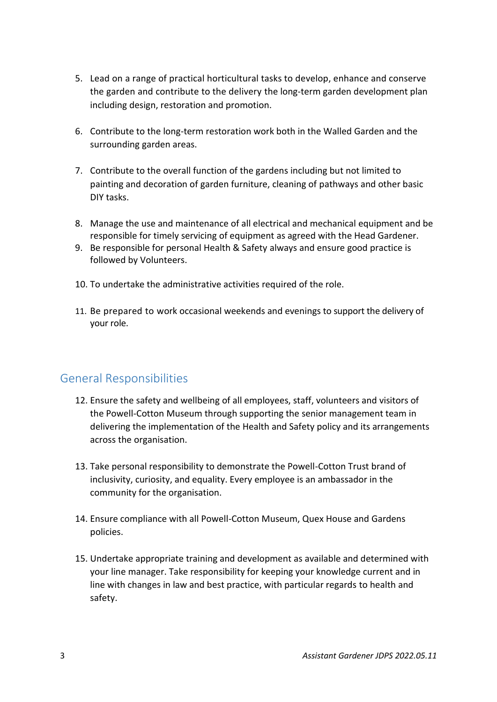- 5. Lead on a range of practical horticultural tasks to develop, enhance and conserve the garden and contribute to the delivery the long-term garden development plan including design, restoration and promotion.
- 6. Contribute to the long-term restoration work both in the Walled Garden and the surrounding garden areas.
- 7. Contribute to the overall function of the gardens including but not limited to painting and decoration of garden furniture, cleaning of pathways and other basic DIY tasks.
- 8. Manage the use and maintenance of all electrical and mechanical equipment and be responsible for timely servicing of equipment as agreed with the Head Gardener.
- 9. Be responsible for personal Health & Safety always and ensure good practice is followed by Volunteers.
- 10. To undertake the administrative activities required of the role.
- 11. Be prepared to work occasional weekends and evenings to support the delivery of your role.

### General Responsibilities

- 12. Ensure the safety and wellbeing of all employees, staff, volunteers and visitors of the Powell-Cotton Museum through supporting the senior management team in delivering the implementation of the Health and Safety policy and its arrangements across the organisation.
- 13. Take personal responsibility to demonstrate the Powell-Cotton Trust brand of inclusivity, curiosity, and equality. Every employee is an ambassador in the community for the organisation.
- 14. Ensure compliance with all Powell-Cotton Museum, Quex House and Gardens policies.
- 15. Undertake appropriate training and development as available and determined with your line manager. Take responsibility for keeping your knowledge current and in line with changes in law and best practice, with particular regards to health and safety.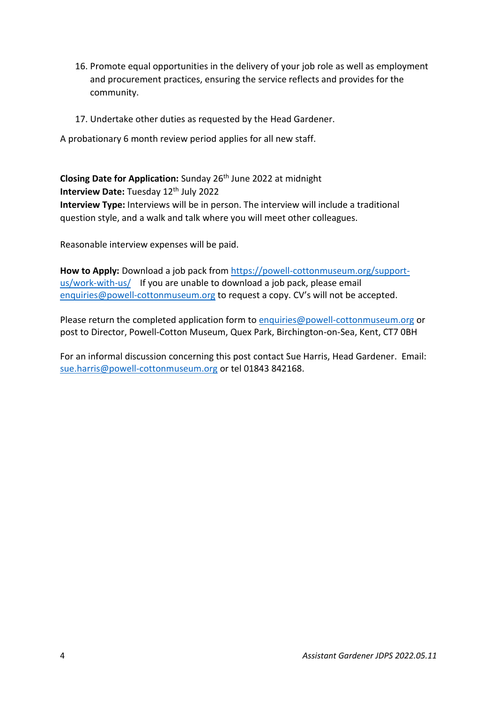- 16. Promote equal opportunities in the delivery of your job role as well as employment and procurement practices, ensuring the service reflects and provides for the community.
- 17. Undertake other duties as requested by the Head Gardener.

A probationary 6 month review period applies for all new staff.

**Closing Date for Application:** Sunday 26th June 2022 at midnight **Interview Date: Tuesday 12<sup>th</sup> July 2022 Interview Type:** Interviews will be in person. The interview will include a traditional question style, and a walk and talk where you will meet other colleagues.

Reasonable interview expenses will be paid.

**How to Apply:** Download a job pack from [https://powell-cottonmuseum.org/support](https://powell-cottonmuseum.org/support-us/work-with-us/)[us/work-with-us/](https://powell-cottonmuseum.org/support-us/work-with-us/) If you are unable to download a job pack, please email [enquiries@powell-cottonmuseum.org](mailto:enquiries@powell-cottonmuseum.org) to request a copy. CV's will not be accepted.

Please return the completed application form to [enquiries@powell-cottonmuseum.org](mailto:enquiries@powell-cottonmuseum.org) or post to Director, Powell-Cotton Museum, Quex Park, Birchington-on-Sea, Kent, CT7 0BH

For an informal discussion concerning this post contact Sue Harris, Head Gardener. Email: [sue.harris@powell-cottonmuseum.org](mailto:sue.harris@powell-cottonmuseum.org) or tel 01843 842168.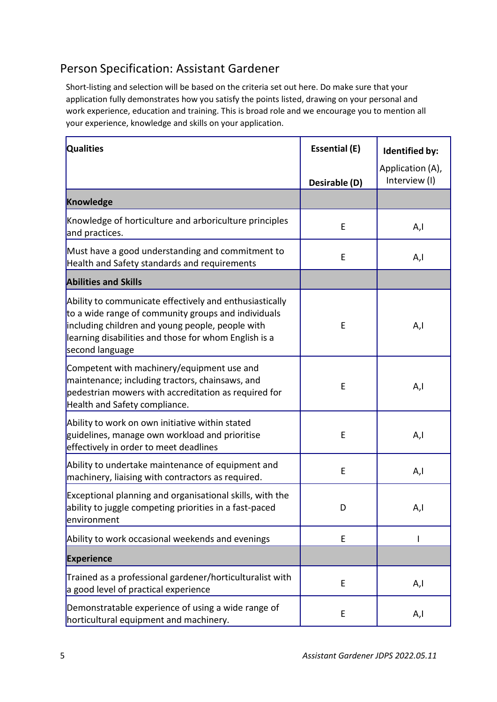## Person Specification: Assistant Gardener

Short-listing and selection will be based on the criteria set out here. Do make sure that your application fully demonstrates how you satisfy the points listed, drawing on your personal and work experience, education and training. This is broad role and we encourage you to mention all your experience, knowledge and skills on your application.

| <b>Qualities</b>                                                                                                                                                                                                                               | <b>Essential (E)</b> | <b>Identified by:</b>             |
|------------------------------------------------------------------------------------------------------------------------------------------------------------------------------------------------------------------------------------------------|----------------------|-----------------------------------|
|                                                                                                                                                                                                                                                | Desirable (D)        | Application (A),<br>Interview (I) |
| <b>Knowledge</b>                                                                                                                                                                                                                               |                      |                                   |
| Knowledge of horticulture and arboriculture principles<br>and practices.                                                                                                                                                                       | E                    | A,l                               |
| Must have a good understanding and commitment to<br>Health and Safety standards and requirements                                                                                                                                               | E                    | A,l                               |
| <b>Abilities and Skills</b>                                                                                                                                                                                                                    |                      |                                   |
| Ability to communicate effectively and enthusiastically<br>to a wide range of community groups and individuals<br>including children and young people, people with<br>learning disabilities and those for whom English is a<br>second language | E                    | A,l                               |
| Competent with machinery/equipment use and<br>maintenance; including tractors, chainsaws, and<br>pedestrian mowers with accreditation as required for<br>Health and Safety compliance.                                                         | E                    | A,l                               |
| Ability to work on own initiative within stated<br>guidelines, manage own workload and prioritise<br>effectively in order to meet deadlines                                                                                                    | E                    | A,l                               |
| Ability to undertake maintenance of equipment and<br>machinery, liaising with contractors as required.                                                                                                                                         | E                    | A,I                               |
| Exceptional planning and organisational skills, with the<br>ability to juggle competing priorities in a fast-paced<br>environment                                                                                                              | D                    | A,l                               |
| Ability to work occasional weekends and evenings                                                                                                                                                                                               | E                    |                                   |
| <b>Experience</b>                                                                                                                                                                                                                              |                      |                                   |
| Trained as a professional gardener/horticulturalist with<br>a good level of practical experience                                                                                                                                               | E                    | A,l                               |
| Demonstratable experience of using a wide range of<br>horticultural equipment and machinery.                                                                                                                                                   | E                    | A,I                               |